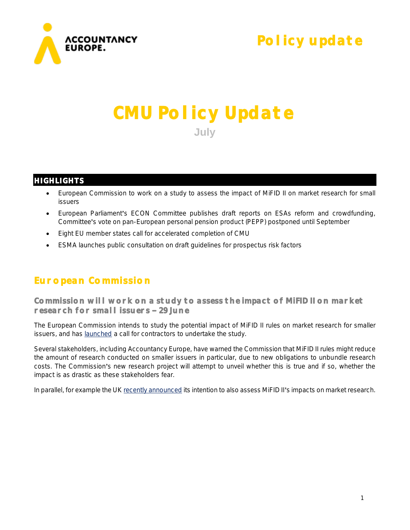

# **Policy update**

# **CMU Policy Update July**

## **HIGHLIGHTS**

- European Commission to work on a study to assess the impact of MiFID II on market research for small issuers
- European Parliament's ECON Committee publishes draft reports on ESAs reform and crowdfunding, Committee's vote on pan-European personal pension product (PEPP) postponed until September
- Eight EU member states call for accelerated completion of CMU
- ESMA launches public consultation on draft guidelines for prospectus risk factors

# **European Commission**

**Commission will work on a study to assess the impact of MiFID II on market research for small issuers 29 June** 

The European Commission intends to study the potential impact of MiFID II rules on market research for smaller issuers, and has [launched](https://ted.europa.eu/TED/notice/udl?uri=TED:NOTICE:278268-2018:HTML:EN:HTML) a call for contractors to undertake the study.

Several stakeholders, including Accountancy Europe, have warned the Commission that MiFID II rules might reduce the amount of research conducted on smaller issuers in particular, due to new obligations to unbundle research costs. The Commission's new research project will attempt to unveil whether this is true and if so, whether the impact is as drastic as these stakeholders fear.

In parallel, for example the U[K recently announced](https://www.euromoney.com/article/b18sqw6csnf6bv/fca-probe-to-explore-mifid-ii-impact-on-research) its intention to also assess MiFID II's impacts on market research.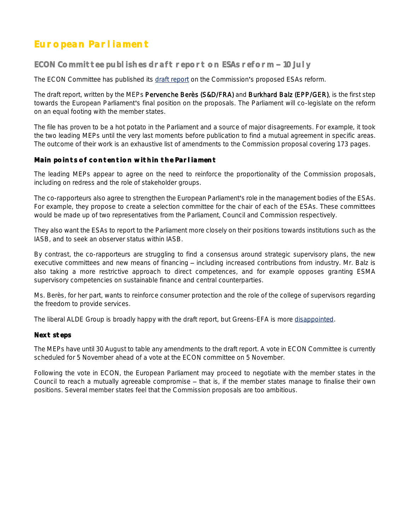# **European Parliament**

#### ECON Committee publishes draft report on ESAs reform - 10 July

The ECON Committee has published its [draft report](http://www.europarl.europa.eu/sides/getDoc.do?pubRef=-//EP//NONSGML+COMPARL+PE-625.358+01+DOC+PDF+V0//EN&language=EN) on the Commission's proposed ESAs reform.

The draft report, written by the MEPs Pervenche Berès (S&D/FRA) and Burkhard Balz (EPP/GER), is the first step towards the European Parliament's final position on the proposals. The Parliament will co-legislate on the reform on an equal footing with the member states.

The file has proven to be a hot potato in the Parliament and a source of major disagreements. For example, it took the two leading MEPs until the very last moments before publication to find a mutual agreement in specific areas. The outcome of their work is an exhaustive list of amendments to the Commission proposal covering 173 pages.

#### **Main points of contention within the Parliament**

The leading MEPs appear to agree on the need to reinforce the proportionality of the Commission proposals, including on redress and the role of stakeholder groups.

The co-rapporteurs also agree to strengthen the European Parliament's role in the management bodies of the ESAs. For example, they propose to create a selection committee for the chair of each of the ESAs. These committees would be made up of two representatives from the Parliament, Council and Commission respectively.

They also want the ESAs to report to the Parliament more closely on their positions towards institutions such as the IASB, and to seek an observer status within IASB.

By contrast, the co-rapporteurs are struggling to find a consensus around strategic supervisory plans, the new executive committees and new means of financing – including increased contributions from industry. Mr. Balz is also taking a more restrictive approach to direct competences, and for example opposes granting ESMA supervisory competencies on sustainable finance and central counterparties.

Ms. Berès, for her part, wants to reinforce consumer protection and the role of the college of supervisors regarding the freedom to provide services.

The liberal ALDE Group is broadly happy with the draft report, but Greens-EFA is more [disappointed.](https://sven-giegold.de/draft-report-financial-supervision/)

#### **Next steps**

The MEPs have until 30 August to table any amendments to the draft report. A vote in ECON Committee is currently scheduled for 5 November ahead of a vote at the ECON committee on 5 November.

Following the vote in ECON, the European Parliament may proceed to negotiate with the member states in the Council to reach a mutually agreeable compromise – that is, if the member states manage to finalise their own positions. Several member states feel that the Commission proposals are too ambitious.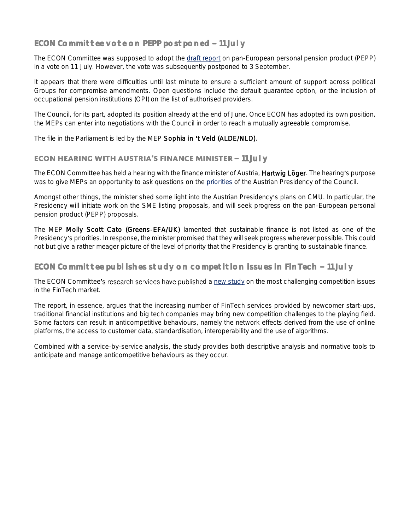## **ECON Committee vote on PEPP postponed - 11 July**

The ECON Committee was supposed to adopt the [draft report](http://www.europarl.europa.eu/sides/getDoc.do?pubRef=-//EP//NONSGML+COMPARL+PE-618.225+01+DOC+PDF+V0//EN&language=EN) on pan-European personal pension product (PEPP) in a vote on 11 July. However, the vote was subsequently postponed to 3 September.

It appears that there were difficulties until last minute to ensure a sufficient amount of support across political Groups for compromise amendments. Open questions include the default guarantee option, or the inclusion of occupational pension institutions (OPI) on the list of authorised providers.

The Council, for its part, adopted its position already at the end of June. Once ECON has adopted its own position, the MEPs can enter into negotiations with the Council in order to reach a mutually agreeable compromise.

The file in the Parliament is led by the MEP Sophia in 't Veld (ALDE/NLD).

#### **ECON HEARING WITH AUSTRIA'S FINANCE MINISTER - 11 July**

The ECON Committee has held a hearing with the finance minister of Austria, Hartwig Löger. The hearing's purpose was to give MEPs an opportunity to ask questions on the [priorities](https://www.eu2018.at/agenda-priorities/programme.html) of the Austrian Presidency of the Council.

Amongst other things, the minister shed some light into the Austrian Presidency's plans on CMU. In particular, the Presidency will initiate work on the SME listing proposals, and will seek progress on the pan-European personal pension product (PEPP) proposals.

The MEP Molly Scott Cato (Greens-EFA/UK) lamented that sustainable finance is not listed as one of the Presidency's priorities. In response, the minister promised that they will seek progress wherever possible. This could not but give a rather meager picture of the level of priority that the Presidency is granting to sustainable finance.

#### **ECON Committee publishes study on competition issues in FinTech - 11 July**

The ECON Committee's research services have published a [new study](http://www.europarl.europa.eu/RegData/etudes/STUD/2018/619027/IPOL_STU(2018)619027_EN.pdf) on the most challenging competition issues in the FinTech market.

The report, in essence, argues that the increasing number of FinTech services provided by newcomer start-ups, traditional financial institutions and big tech companies may bring new competition challenges to the playing field. Some factors can result in anticompetitive behaviours, namely the network effects derived from the use of online platforms, the access to customer data, standardisation, interoperability and the use of algorithms.

Combined with a service-by-service analysis, the study provides both descriptive analysis and normative tools to anticipate and manage anticompetitive behaviours as they occur.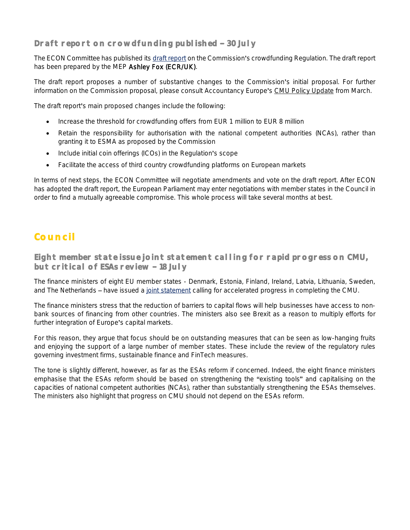## **Draft report on crowdfunding published - 30 July**

The ECON Committee has published its [draft report](http://www.europarl.europa.eu/sides/getDoc.do?type=COMPARL&reference=PE-626.662&format=PDF&language=EN&secondRef=01) on the Commission's crowdfunding Regulation. The draft report has been prepared by the MEP Ashley Fox (ECR/UK).

The draft report proposes a number of substantive changes to the Commission's initial proposal. For further information on the Commission proposal, please consult Accountancy Europe's [CMU Policy Update](https://www.accountancyeurope.eu/wp-content/uploads/180404_CMU-PU-March.pdf) from March.

The draft report's main proposed changes include the following:

- Increase the threshold for crowdfunding offers from EUR 1 million to EUR 8 million
- Retain the responsibility for authorisation with the national competent authorities (NCAs), rather than granting it to ESMA as proposed by the Commission
- Include initial coin offerings (ICOs) in the Regulation's scope
- Facilitate the access of third country crowdfunding platforms on European markets

In terms of next steps, the ECON Committee will negotiate amendments and vote on the draft report. After ECON has adopted the draft report, the European Parliament may enter negotiations with member states in the Council in order to find a mutually agreeable compromise. This whole process will take several months at best.

# **Council**

**Eight member state issue joint statement calling for rapid progress on CMU, but critical of ESAs review 18 July** 

The finance ministers of eight EU member states - Denmark, Estonia, Finland, Ireland, Latvia, Lithuania, Sweden, and The Netherlands - have issued a [joint statement](https://www.finance.gov.ie/category/publications/?post_type=updates) calling for accelerated progress in completing the CMU.

The finance ministers stress that the reduction of barriers to capital flows will help businesses have access to nonbank sources of financing from other countries. The ministers also see Brexit as a reason to multiply efforts for further integration of Europe's capital markets.

For this reason, they argue that focus should be on outstanding measures that can be seen as low-hanging fruits and enjoying the support of a large number of member states. These include the review of the regulatory rules governing investment firms, sustainable finance and FinTech measures.

The tone is slightly different, however, as far as the ESAs reform if concerned. Indeed, the eight finance ministers emphasise that the ESAs reform should be based on strengthening the "existing tools" and capitalising on the capacities of national competent authorities (NCAs), rather than substantially strengthening the ESAs themselves. The ministers also highlight that progress on CMU should not depend on the ESAs reform.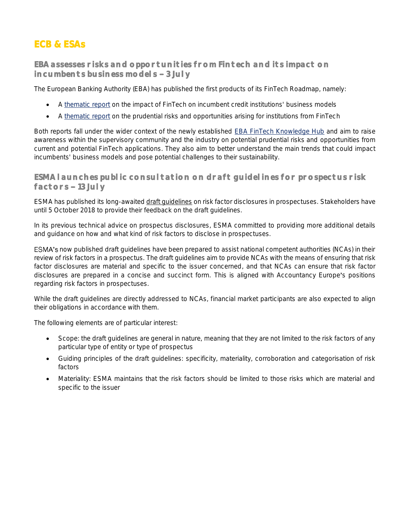# **ECB & ESAs**

### **EBA assesses risks and opportunities from Fintech and its impact on incumbents business models 3 July**

The European Banking Authority (EBA) has published the first products of its FinTech Roadmap, namely:

- A [thematic report](http://www.eba.europa.eu/documents/10180/2270909/Report+on+the+impact+of+Fintech+on+incumbent+credit+institutions%27%20business+models.pdf) on the impact of FinTech on incumbent credit institutions' business models
- A [thematic report](http://www.eba.europa.eu/documents/10180/2270909/Report+on+prudential+risks+and+opportunities+arising+for+institutions+from+FinTech.pdf) on the prudential risks and opportunities arising for institutions from FinTech

Both reports fall under the wider context of the newly established **EBA FinTech Knowledge Hub** and aim to raise awareness within the supervisory community and the industry on potential prudential risks and opportunities from current and potential FinTech applications. They also aim to better understand the main trends that could impact incumbents' business models and pose potential challenges to their sustainability.

#### **ESMA launches public consultation on draft guidelines for prospectus risk**  factors - 13 July

ESMA has published its long-awaited [draft guidelines](https://www.esma.europa.eu/sites/default/files/library/esma31-62-996_consultation_paper_on_guidelines_on_risk_factors.pdf) on risk factor disclosures in prospectuses. Stakeholders have until 5 October 2018 to provide their feedback on the draft guidelines.

In its previous technical advice on prospectus disclosures, ESMA committed to providing more additional details and guidance on how and what kind of risk factors to disclose in prospectuses.

ESMA's now published draft guidelines have been prepared to assist national competent authorities (NCAs) in their review of risk factors in a prospectus. The draft guidelines aim to provide NCAs with the means of ensuring that risk factor disclosures are material and specific to the issuer concerned, and that NCAs can ensure that risk factor disclosures are prepared in a concise and succinct form. This is aligned with Accountancy Europe's positions regarding risk factors in prospectuses.

While the draft guidelines are directly addressed to NCAs, financial market participants are also expected to align their obligations in accordance with them.

The following elements are of particular interest:

- Scope: the draft guidelines are general in nature, meaning that they are not limited to the risk factors of any particular type of entity or type of prospectus
- Guiding principles of the draft guidelines: specificity, materiality, corroboration and categorisation of risk factors
- Materiality: ESMA maintains that the risk factors should be limited to those risks which are material and specific to the issuer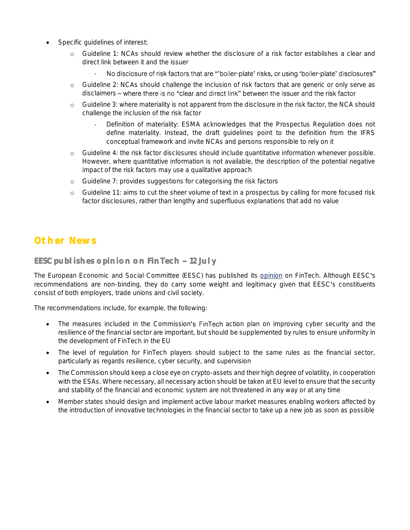- Specific quidelines of interest:
	- o Guideline 1: NCAs should review whether the disclosure of a risk factor establishes a clear and direct link between it and the issuer
		- No disclosure of risk factors that are "'boiler-plate' risks, or using 'boiler-plate' disclosures"
	- o Guideline 2: NCAs should challenge the inclusion of risk factors that are generic or only serve as disclaimers - where there is no "clear and direct link" between the issuer and the risk factor
	- o Guideline 3: where materiality is not apparent from the disclosure in the risk factor, the NCA should challenge the inclusion of the risk factor
		- Definition of materiality: ESMA acknowledges that the Prospectus Regulation does not define materiality. Instead, the draft guidelines point to the definition from the IFRS conceptual framework and invite NCAs and persons responsible to rely on it
	- o Guideline 4: the risk factor disclosures should include quantitative information whenever possible. However, where quantitative information is not available, the description of the potential negative impact of the risk factors may use a qualitative approach
	- o Guideline 7: provides suggestions for categorising the risk factors
	- o Guideline 11: aims to cut the sheer volume of text in a prospectus by calling for more focused risk factor disclosures, rather than lengthy and superfluous explanations that add no value

## **Other News**

#### **EESC publishes opinion on FinTech - 12 July**

The European Economic and Social Committee (EESC) has published its [opinion](http://webapi.eesc.europa.eu/documentsanonymous/eesc-2018-01056-00-00-ac-tra-en.docx) on FinTech. Although EESC s recommendations are non-binding, they do carry some weight and legitimacy given that EESC's constituents consist of both employers, trade unions and civil society.

The recommendations include, for example, the following:

- The measures included in the Commission's FinTech action plan on improving cyber security and the resilience of the financial sector are important, but should be supplemented by rules to ensure uniformity in the development of FinTech in the EU
- The level of regulation for FinTech players should subject to the same rules as the financial sector, particularly as regards resilience, cyber security, and supervision
- The Commission should keep a close eye on crypto-assets and their high degree of volatility, in cooperation with the ESAs. Where necessary, all necessary action should be taken at EU level to ensure that the security and stability of the financial and economic system are not threatened in any way or at any time
- Member states should design and implement active labour market measures enabling workers affected by the introduction of innovative technologies in the financial sector to take up a new job as soon as possible